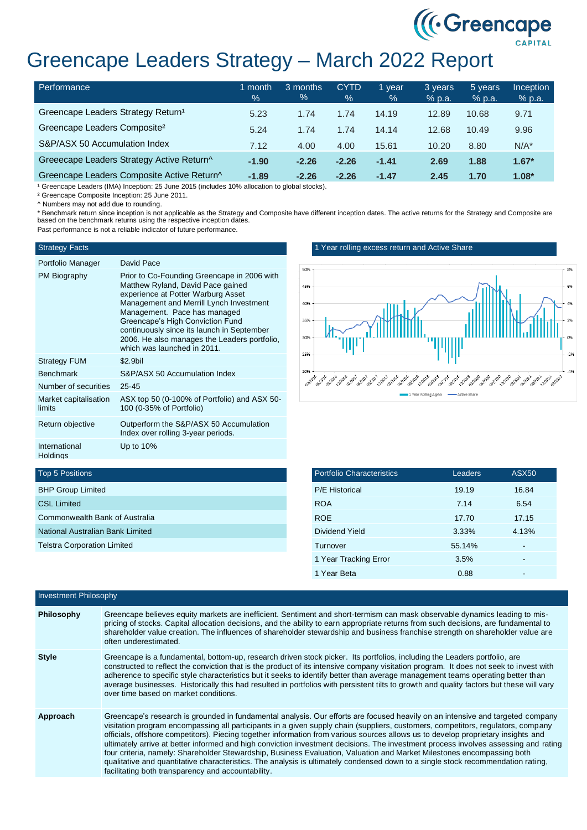

# Greencape Leaders Strategy – March 2022 Report

| Performance                                    | month<br>$\frac{1}{2}$ | 3 months<br>% | <b>CYTD</b><br>$\%$ | 1 year<br>$\%$ | 3 years<br>$%$ p.a. | 5 years<br>$%$ p.a. | <b>Inception</b><br>% p.a. |
|------------------------------------------------|------------------------|---------------|---------------------|----------------|---------------------|---------------------|----------------------------|
| Greencape Leaders Strategy Return <sup>1</sup> | 5.23                   | 1.74          | 1.74                | 14.19          | 12.89               | 10.68               | 9.71                       |
| Greencape Leaders Composite <sup>2</sup>       | 5.24                   | 1.74          | 1.74                | 14.14          | 12.68               | 10.49               | 9.96                       |
| S&P/ASX 50 Accumulation Index                  | 7.12                   | 4.00          | 4.00                | 15.61          | 10.20               | 8.80                | $N/A^*$                    |
| Greeecape Leaders Strategy Active Return^      | $-1.90$                | $-2.26$       | $-2.26$             | $-1.41$        | 2.69                | 1.88                | $1.67*$                    |
| Greencape Leaders Composite Active Return^     | $-1.89$                | $-2.26$       | $-2.26$             | $-1.47$        | 2.45                | 1.70                | $1.08*$                    |

<sup>1</sup> Greencape Leaders (IMA) Inception: 25 June 2015 (includes 10% allocation to global stocks).

² Greencape Composite Inception: 25 June 2011.

^ Numbers may not add due to rounding.

\* Benchmark return since inception is not applicable as the Strategy and Composite have different inception dates. The active returns for the Strategy and Composite are based on the benchmark returns using the respective inception dates.

Past performance is not a reliable indicator of future performance.

### Strategy Facts

| $\lambda$ |  |
|-----------|--|

| Portfolio Manager                | David Pace                                                                                                                                                                                                                                                                                                                                                         |
|----------------------------------|--------------------------------------------------------------------------------------------------------------------------------------------------------------------------------------------------------------------------------------------------------------------------------------------------------------------------------------------------------------------|
| PM Biography                     | Prior to Co-Founding Greencape in 2006 with<br>Matthew Ryland, David Pace gained<br>experience at Potter Warburg Asset<br>Management and Merrill Lynch Investment<br>Management. Pace has managed<br>Greencape's High Conviction Fund<br>continuously since its launch in September<br>2006. He also manages the Leaders portfolio,<br>which was launched in 2011. |
| <b>Strategy FUM</b>              | $$2.9$ bil                                                                                                                                                                                                                                                                                                                                                         |
| <b>Benchmark</b>                 | S&P/ASX 50 Accumulation Index                                                                                                                                                                                                                                                                                                                                      |
| Number of securities             | $25 - 45$                                                                                                                                                                                                                                                                                                                                                          |
| Market capitalisation<br>limits  | ASX top 50 (0-100% of Portfolio) and ASX 50-<br>100 (0-35% of Portfolio)                                                                                                                                                                                                                                                                                           |
| Return objective                 | Outperform the S&P/ASX 50 Accumulation<br>Index over rolling 3-year periods.                                                                                                                                                                                                                                                                                       |
| International<br><b>Holdings</b> | Up to $10\%$                                                                                                                                                                                                                                                                                                                                                       |

1 Year rolling excess return and Active Share



| <b>Portfolio Characteristics</b> | Leaders | <b>ASX50</b> |
|----------------------------------|---------|--------------|
| <b>P/E Historical</b>            | 19.19   | 16.84        |
| <b>ROA</b>                       | 7.14    | 6.54         |
| <b>ROE</b>                       | 17.70   | 17.15        |
| Dividend Yield                   | 3.33%   | 4.13%        |
| Turnover                         | 55.14%  |              |
| 1 Year Tracking Error            | 3.5%    | -            |
| 1 Year Beta                      | 0.88    |              |

## Top 5 Positions

| <b>BHP Group Limited</b>           |
|------------------------------------|
| <b>CSL Limited</b>                 |
| Commonwealth Bank of Australia     |
| National Australian Bank Limited   |
| <b>Telstra Corporation Limited</b> |
|                                    |

| <b>Investment Philosophy</b> |                                                                                                                                                                                                                                                                                                                                                                                                                                                                                                                                                                                                                                                                                                                                                                                                                                                                    |
|------------------------------|--------------------------------------------------------------------------------------------------------------------------------------------------------------------------------------------------------------------------------------------------------------------------------------------------------------------------------------------------------------------------------------------------------------------------------------------------------------------------------------------------------------------------------------------------------------------------------------------------------------------------------------------------------------------------------------------------------------------------------------------------------------------------------------------------------------------------------------------------------------------|
| Philosophy                   | Greencape believes equity markets are inefficient. Sentiment and short-termism can mask observable dynamics leading to mis-<br>pricing of stocks. Capital allocation decisions, and the ability to earn appropriate returns from such decisions, are fundamental to<br>shareholder value creation. The influences of shareholder stewardship and business franchise strength on shareholder value are<br>often underestimated.                                                                                                                                                                                                                                                                                                                                                                                                                                     |
| <b>Style</b>                 | Greencape is a fundamental, bottom-up, research driven stock picker. Its portfolios, including the Leaders portfolio, are<br>constructed to reflect the conviction that is the product of its intensive company visitation program. It does not seek to invest with<br>adherence to specific style characteristics but it seeks to identify better than average management teams operating better than<br>average businesses. Historically this had resulted in portfolios with persistent tilts to growth and quality factors but these will vary<br>over time based on market conditions.                                                                                                                                                                                                                                                                        |
| Approach                     | Greencape's research is grounded in fundamental analysis. Our efforts are focused heavily on an intensive and targeted company<br>visitation program encompassing all participants in a given supply chain (suppliers, customers, competitors, regulators, company<br>officials, offshore competitors). Piecing together information from various sources allows us to develop proprietary insights and<br>ultimately arrive at better informed and high conviction investment decisions. The investment process involves assessing and rating<br>four criteria, namely: Shareholder Stewardship, Business Evaluation, Valuation and Market Milestones encompassing both<br>qualitative and quantitative characteristics. The analysis is ultimately condensed down to a single stock recommendation rating,<br>facilitating both transparency and accountability. |